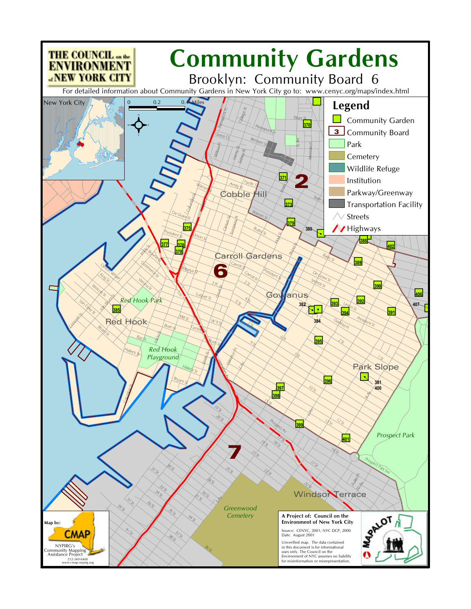